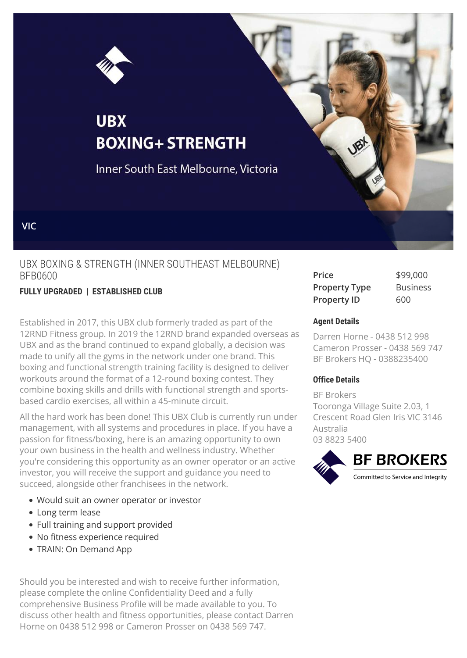

# **UBX BOXING+ STRENGTH**

Inner South East Melbourne, Victoria



## UBX BOXING & STRENGTH (INNER SOUTHEAST MELBOURNE) BFB0600

## **FULLY UPGRADED | ESTABLISHED CLUB**

Established in 2017, this UBX club formerly traded as part of the 12RND Fitness group. In 2019 the 12RND brand expanded overseas as UBX and as the brand continued to expand globally, a decision was made to unify all the gyms in the network under one brand. This boxing and functional strength training facility is designed to deliver workouts around the format of a 12-round boxing contest. They combine boxing skills and drills with functional strength and sportsbased cardio exercises, all within a 45-minute circuit.

All the hard work has been done! This UBX Club is currently run under management, with all systems and procedures in place. If you have a passion for fitness/boxing, here is an amazing opportunity to own your own business in the health and wellness industry. Whether you're considering this opportunity as an owner operator or an active investor, you will receive the support and guidance you need to succeed, alongside other franchisees in the network.

- Would suit an owner operator or investor
- Long term lease
- Full training and support provided
- No fitness experience required
- TRAIN: On Demand App

Should you be interested and wish to receive further information, please complete the online Confidentiality Deed and a fully comprehensive Business Profile will be made available to you. To discuss other health and fitness opportunities, please contact Darren Horne on 0438 512 998 or Cameron Prosser on 0438 569 747.

| Price                | \$99,000        |
|----------------------|-----------------|
| <b>Property Type</b> | <b>Business</b> |
| <b>Property ID</b>   | 600             |

### **Agent Details**

Darren Horne - 0438 512 998 Cameron Prosser - 0438 569 747 BF Brokers HQ - 0388235400

### **Office Details**

BF Brokers Tooronga Village Suite 2.03, 1 Crescent Road Glen Iris VIC 3146 Australia 03 8823 5400